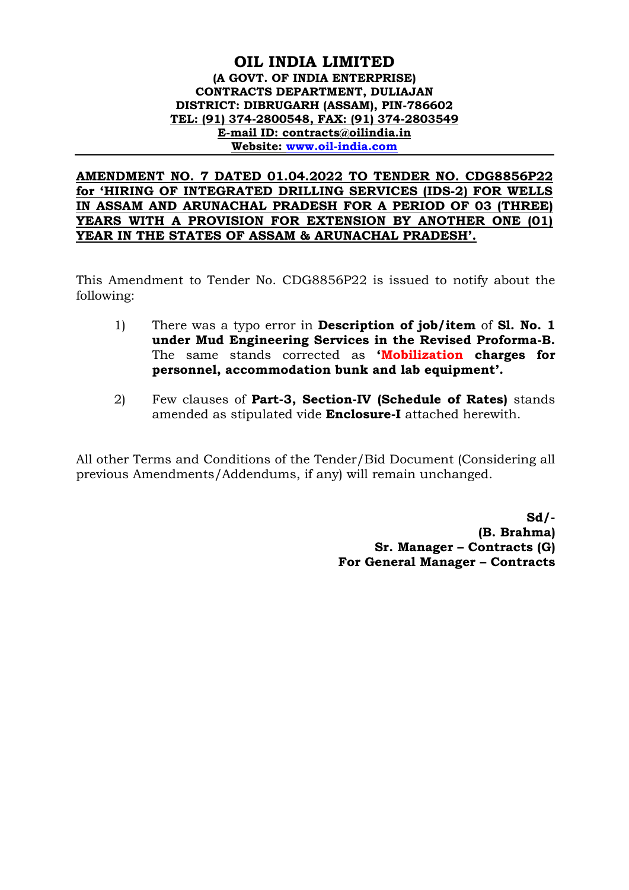#### **OIL INDIA LIMITED (A GOVT. OF INDIA ENTERPRISE) CONTRACTS DEPARTMENT, DULIAJAN DISTRICT: DIBRUGARH (ASSAM), PIN-786602 TEL: (91) 374-2800548, FAX: (91) 374-2803549 E-mail ID: contracts@oilindia.in Website: [www.oil-india.com](http://www.oil-india.com/)**

# **AMENDMENT NO. 7 DATED 01.04.2022 TO TENDER NO. CDG8856P22 for 'HIRING OF INTEGRATED DRILLING SERVICES (IDS-2) FOR WELLS IN ASSAM AND ARUNACHAL PRADESH FOR A PERIOD OF 03 (THREE) YEARS WITH A PROVISION FOR EXTENSION BY ANOTHER ONE (01) YEAR IN THE STATES OF ASSAM & ARUNACHAL PRADESH'.**

This Amendment to Tender No. CDG8856P22 is issued to notify about the following:

- 1) There was a typo error in **Description of job/item** of **Sl. No. 1 under Mud Engineering Services in the Revised Proforma-B.**  The same stands corrected as **'Mobilization charges for personnel, accommodation bunk and lab equipment'.**
- 2) Few clauses of **Part-3, Section-IV (Schedule of Rates)** stands amended as stipulated vide **Enclosure-I** attached herewith.

All other Terms and Conditions of the Tender/Bid Document (Considering all previous Amendments/Addendums, if any) will remain unchanged.

> **Sd/- (B. Brahma) Sr. Manager – Contracts (G) For General Manager – Contracts**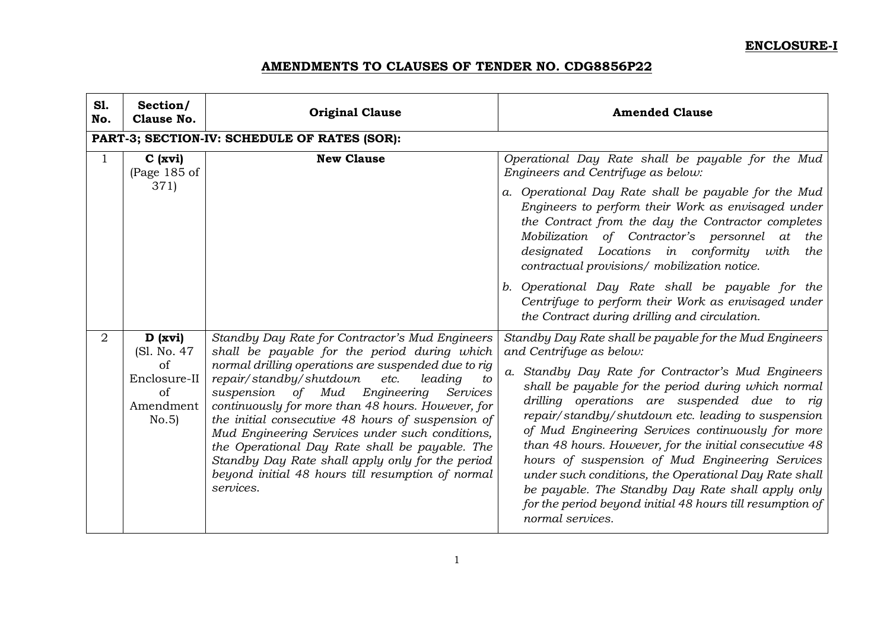### **AMENDMENTS TO CLAUSES OF TENDER NO. CDG8856P22**

| <b>S1.</b><br>No.                            | Section/<br>Clause No.                                                   | <b>Original Clause</b>                                                                                                                                                                                                                                                                                                                                                                                                                                                                                                                                                                       | <b>Amended Clause</b>                                                                                                                                                                                                                                                                                                                                                                                                                                                                                                                                                                                                                                                   |  |  |  |  |  |  |  |  |
|----------------------------------------------|--------------------------------------------------------------------------|----------------------------------------------------------------------------------------------------------------------------------------------------------------------------------------------------------------------------------------------------------------------------------------------------------------------------------------------------------------------------------------------------------------------------------------------------------------------------------------------------------------------------------------------------------------------------------------------|-------------------------------------------------------------------------------------------------------------------------------------------------------------------------------------------------------------------------------------------------------------------------------------------------------------------------------------------------------------------------------------------------------------------------------------------------------------------------------------------------------------------------------------------------------------------------------------------------------------------------------------------------------------------------|--|--|--|--|--|--|--|--|
| PART-3; SECTION-IV: SCHEDULE OF RATES (SOR): |                                                                          |                                                                                                                                                                                                                                                                                                                                                                                                                                                                                                                                                                                              |                                                                                                                                                                                                                                                                                                                                                                                                                                                                                                                                                                                                                                                                         |  |  |  |  |  |  |  |  |
| $\mathbf{1}$                                 | $C$ (xvi)<br>(Page 185 of                                                | <b>New Clause</b>                                                                                                                                                                                                                                                                                                                                                                                                                                                                                                                                                                            | Operational Day Rate shall be payable for the Mud<br>Engineers and Centrifuge as below:                                                                                                                                                                                                                                                                                                                                                                                                                                                                                                                                                                                 |  |  |  |  |  |  |  |  |
|                                              | 371                                                                      |                                                                                                                                                                                                                                                                                                                                                                                                                                                                                                                                                                                              | a. Operational Day Rate shall be payable for the Mud<br>Engineers to perform their Work as envisaged under<br>the Contract from the day the Contractor completes<br>Mobilization of Contractor's personnel at<br>the<br>designated Locations in conformity with<br>the<br>contractual provisions/ mobilization notice.<br>Operational Day Rate shall be payable for the<br>b.<br>Centrifuge to perform their Work as envisaged under                                                                                                                                                                                                                                    |  |  |  |  |  |  |  |  |
|                                              |                                                                          |                                                                                                                                                                                                                                                                                                                                                                                                                                                                                                                                                                                              | the Contract during drilling and circulation.                                                                                                                                                                                                                                                                                                                                                                                                                                                                                                                                                                                                                           |  |  |  |  |  |  |  |  |
| 2                                            | D (xvi)<br>(Sl. No. 47)<br>of<br>Enclosure-II<br>of<br>Amendment<br>No.5 | Standby Day Rate for Contractor's Mud Engineers<br>shall be payable for the period during which<br>normal drilling operations are suspended due to rig<br>repair/standby/shutdown<br>etc.<br>leading<br>to<br>suspension of Mud Engineering<br>Services<br>continuously for more than 48 hours. However, for<br>the initial consecutive 48 hours of suspension of<br>Mud Engineering Services under such conditions,<br>the Operational Day Rate shall be payable. The<br>Standby Day Rate shall apply only for the period<br>beyond initial 48 hours till resumption of normal<br>services. | Standby Day Rate shall be payable for the Mud Engineers<br>and Centrifuge as below:<br>a. Standby Day Rate for Contractor's Mud Engineers<br>shall be payable for the period during which normal<br>drilling operations are suspended due to rig<br>repair/standby/shutdown etc. leading to suspension<br>of Mud Engineering Services continuously for more<br>than 48 hours. However, for the initial consecutive 48<br>hours of suspension of Mud Engineering Services<br>under such conditions, the Operational Day Rate shall<br>be payable. The Standby Day Rate shall apply only<br>for the period beyond initial 48 hours till resumption of<br>normal services. |  |  |  |  |  |  |  |  |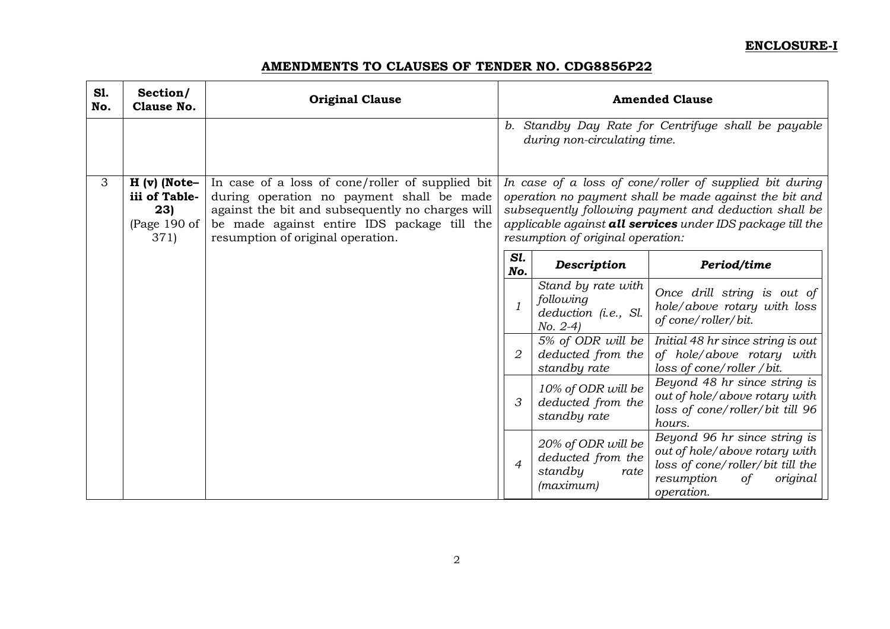# **ENCLOSURE-I**

### **AMENDMENTS TO CLAUSES OF TENDER NO. CDG8856P22**

| <b>S1.</b><br>No. | Section/<br>Clause No.                                       | <b>Original Clause</b>                                                                                                                                                                                                                | <b>Amended Clause</b>                                                                                                                                                                                                                                                         |                                                                         |                                                                                                                                                 |  |
|-------------------|--------------------------------------------------------------|---------------------------------------------------------------------------------------------------------------------------------------------------------------------------------------------------------------------------------------|-------------------------------------------------------------------------------------------------------------------------------------------------------------------------------------------------------------------------------------------------------------------------------|-------------------------------------------------------------------------|-------------------------------------------------------------------------------------------------------------------------------------------------|--|
|                   |                                                              |                                                                                                                                                                                                                                       | Standby Day Rate for Centrifuge shall be payable<br>b.<br>during non-circulating time.                                                                                                                                                                                        |                                                                         |                                                                                                                                                 |  |
| 3                 | $H(v)$ (Note-<br>iii of Table-<br>23)<br>(Page 190 of<br>371 | In case of a loss of cone/roller of supplied bit<br>during operation no payment shall be made<br>against the bit and subsequently no charges will<br>be made against entire IDS package till the<br>resumption of original operation. | In case of a loss of cone/roller of supplied bit during<br>operation no payment shall be made against the bit and<br>subsequently following payment and deduction shall be<br>applicable against all services under IDS package till the<br>resumption of original operation: |                                                                         |                                                                                                                                                 |  |
|                   |                                                              |                                                                                                                                                                                                                                       | Sl.<br>No.                                                                                                                                                                                                                                                                    | <b>Description</b>                                                      | Period/time                                                                                                                                     |  |
|                   |                                                              |                                                                                                                                                                                                                                       |                                                                                                                                                                                                                                                                               | Stand by rate with<br>following<br>deduction (i.e., Sl.<br>$No. 2-4)$   | Once drill string is out of<br>hole/above rotary with loss<br>of cone/roller/bit.                                                               |  |
|                   |                                                              |                                                                                                                                                                                                                                       | 5% of ODR will be<br>deducted from the<br>2<br>standby rate                                                                                                                                                                                                                   |                                                                         | Initial 48 hr since string is out<br>of hole/above rotary with<br>loss of cone/roller / bit.                                                    |  |
|                   |                                                              |                                                                                                                                                                                                                                       | 3                                                                                                                                                                                                                                                                             | 10% of ODR will be<br>deducted from the<br>standby rate                 | Beyond 48 hr since string is<br>out of hole/above rotary with<br>loss of cone/roller/bit till 96<br>hours.                                      |  |
|                   |                                                              |                                                                                                                                                                                                                                       | $\overline{4}$                                                                                                                                                                                                                                                                | 20% of ODR will be<br>deducted from the<br>standby<br>rate<br>(maximum) | Beyond 96 hr since string is<br>out of hole/above rotary with<br>loss of cone/roller/bit till the<br>resumption<br>of<br>original<br>operation. |  |